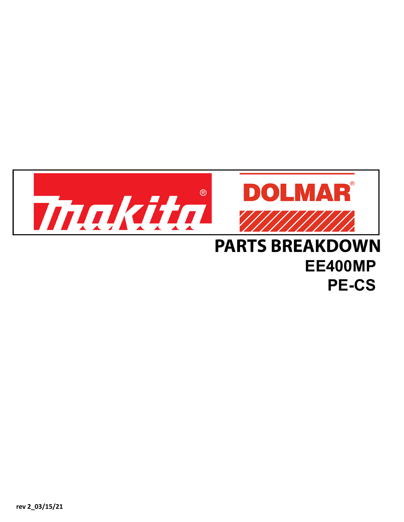

## **PARTS BREAKDOWN EE400MP PE-CS**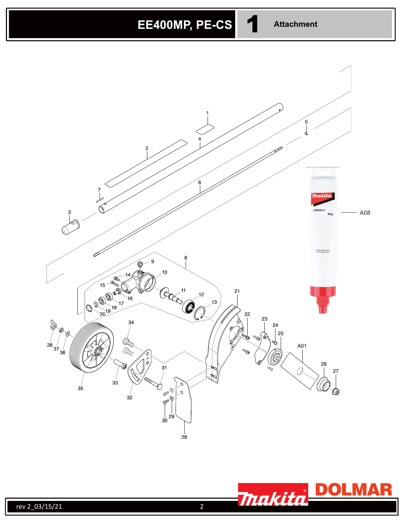



R

MIA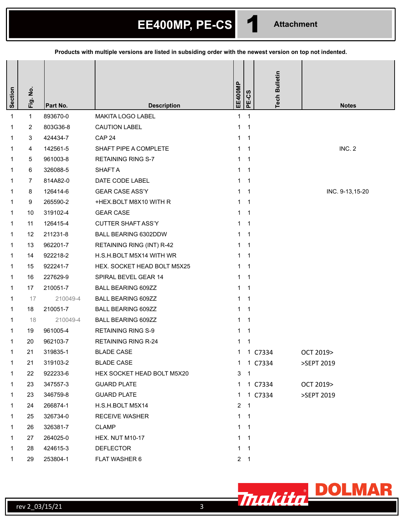**EE400MP, PE-CS** 1 **Attachment** 

**Products with multiple versions are listed in subsiding order with the newest version on top not indented.**

| Section     | Fig. No.       | Part No. | <b>Description</b>          | EE400MP      | PE-CS                      | <b>Tech Bulletin</b> | <b>Notes</b>    |
|-------------|----------------|----------|-----------------------------|--------------|----------------------------|----------------------|-----------------|
| 1           | $\mathbf{1}$   | 893670-0 | <b>MAKITA LOGO LABEL</b>    | $\mathbf 1$  | $\mathbf{1}$               |                      |                 |
| 1           | 2              | 803G36-8 | <b>CAUTION LABEL</b>        | $\mathbf 1$  | $\mathbf{1}$               |                      |                 |
| 1           | 3              | 424434-7 | CAP <sub>24</sub>           | $\mathbf 1$  | $\overline{\mathbf{1}}$    |                      |                 |
| 1           | 4              | 142561-5 | SHAFT PIPE A COMPLETE       | $\mathbf{1}$ | $\mathbf 1$                |                      | INC. 2          |
| 1           | 5              | 961003-8 | <b>RETAINING RING S-7</b>   | 1.           | $\mathbf 1$                |                      |                 |
| 1           | 6              | 326088-5 | <b>SHAFT A</b>              | $\mathbf 1$  | $\overline{1}$             |                      |                 |
| 1           | $\overline{7}$ | 814A82-0 | DATE CODE LABEL             | $\mathbf 1$  | $\mathbf{1}$               |                      |                 |
| 1.          | 8              | 126414-6 | <b>GEAR CASE ASS'Y</b>      | 1            | $\overline{1}$             |                      | INC. 9-13,15-20 |
| 1           | 9              | 265590-2 | +HEX.BOLT M8X10 WITH R      | $\mathbf 1$  | $\mathbf 1$                |                      |                 |
| 1           | 10             | 319102-4 | <b>GEAR CASE</b>            | $\mathbf{1}$ | $\overline{1}$             |                      |                 |
| 1           | 11             | 126415-4 | <b>CUTTER SHAFT ASS'Y</b>   | 1.           | $\mathbf{1}$               |                      |                 |
| 1           | 12             | 211231-8 | BALL BEARING 6302DDW        | $\mathbf 1$  | $\mathbf{1}$               |                      |                 |
| 1           | 13             | 962201-7 | RETAINING RING (INT) R-42   | $\mathbf 1$  | $\overline{1}$             |                      |                 |
| 1           | 14             | 922218-2 | H.S.H.BOLT M5X14 WITH WR    | 1            | $\mathbf 1$                |                      |                 |
| 1           | 15             | 922241-7 | HEX. SOCKET HEAD BOLT M5X25 | $\mathbf 1$  | $\mathbf{1}$               |                      |                 |
| 1.          | 16             | 227629-9 | SPIRAL BEVEL GEAR 14        | $\mathbf 1$  | $\mathbf 1$                |                      |                 |
| $\mathbf 1$ | 17             | 210051-7 | <b>BALL BEARING 609ZZ</b>   | $\mathbf{1}$ | $\mathbf{1}$               |                      |                 |
| 1           | 17             | 210049-4 | <b>BALL BEARING 609ZZ</b>   | $\mathbf{1}$ | $\mathbf{1}$               |                      |                 |
| 1           | 18             | 210051-7 | <b>BALL BEARING 609ZZ</b>   | 1            | $\mathbf{1}$               |                      |                 |
| 1           | 18             | 210049-4 | <b>BALL BEARING 609ZZ</b>   | $\mathbf 1$  | $\mathbf 1$                |                      |                 |
| 1           | 19             | 961005-4 | <b>RETAINING RING S-9</b>   | 1            | 1                          |                      |                 |
| 1           | 20             | 962103-7 | <b>RETAINING RING R-24</b>  | 1            | 1                          |                      |                 |
| 1           | 21             | 319835-1 | <b>BLADE CASE</b>           | 1            | $\mathbf{1}$               | C7334                | OCT 2019>       |
| 1           | 21             | 319103-2 | <b>BLADE CASE</b>           |              |                            | 1 1 C7334            | >SEPT 2019      |
| 1           | 22             | 922233-6 | HEX SOCKET HEAD BOLT M5X20  | 3            | $\overline{\phantom{0}}$ 1 |                      |                 |
| 1           | 23             | 347557-3 | <b>GUARD PLATE</b>          | 1            |                            | 1 C7334              | OCT 2019>       |
| 1           | 23             | 346759-8 | <b>GUARD PLATE</b>          | 1            |                            | 1 C7334              | >SEPT 2019      |
| 1           | 24             | 266874-1 | H.S.H.BOLT M5X14            |              | $2 \quad 1$                |                      |                 |
| 1           | 25             | 326734-0 | <b>RECEIVE WASHER</b>       |              | $1 \quad 1$                |                      |                 |
| 1           | 26             | 326381-7 | <b>CLAMP</b>                |              | $1 \quad 1$                |                      |                 |
| 1           | 27             | 264025-0 | <b>HEX. NUT M10-17</b>      | $\mathbf 1$  | $\overline{1}$             |                      |                 |
| 1           | 28             | 424615-3 | <b>DEFLECTOR</b>            |              | $1 \quad 1$                |                      |                 |
| 1           | 29             | 253804-1 | <b>FLAT WASHER 6</b>        |              | $2 \quad 1$                |                      |                 |